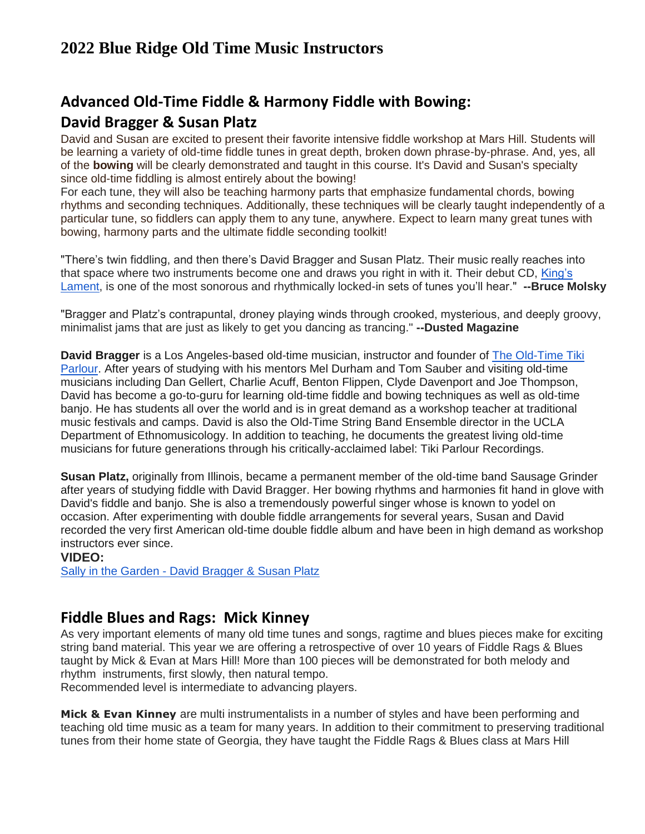# **Advanced Old-Time Fiddle & Harmony Fiddle with Bowing: David Bragger & Susan Platz**

David and Susan are excited to present their favorite intensive fiddle workshop at Mars Hill. Students will be learning a variety of old-time fiddle tunes in great depth, broken down phrase-by-phrase. And, yes, all of the **bowing** will be clearly demonstrated and taught in this course. It's David and Susan's specialty since old-time fiddling is almost entirely about the bowing!

For each tune, they will also be teaching harmony parts that emphasize fundamental chords, bowing rhythms and seconding techniques. Additionally, these techniques will be clearly taught independently of a particular tune, so fiddlers can apply them to any tune, anywhere. Expect to learn many great tunes with bowing, harmony parts and the ultimate fiddle seconding toolkit!

"There's twin fiddling, and then there's David Bragger and Susan Platz. Their music really reaches into that space where two instruments become one and draws you right in with it. Their debut CD, [King's](https://oldtimetikiparlour.com/product/david-bragger-susan-platz-kings-lament-old-time-fiddle-duets/)  [Lament,](https://oldtimetikiparlour.com/product/david-bragger-susan-platz-kings-lament-old-time-fiddle-duets/) is one of the most sonorous and rhythmically locked-in sets of tunes you'll hear." **--Bruce Molsky**

"Bragger and Platz's contrapuntal, droney playing winds through crooked, mysterious, and deeply groovy, minimalist jams that are just as likely to get you dancing as trancing." **--Dusted Magazine**

**David Bragger** is a Los Angeles-based old-time musician, instructor and founder of [The Old-Time Tiki](http://oldtimetikiparlour.com/)  [Parlour.](http://oldtimetikiparlour.com/) After years of studying with his mentors Mel Durham and Tom Sauber and visiting old-time musicians including Dan Gellert, Charlie Acuff, Benton Flippen, Clyde Davenport and Joe Thompson, David has become a go-to-guru for learning old-time fiddle and bowing techniques as well as old-time banjo. He has students all over the world and is in great demand as a workshop teacher at traditional music festivals and camps. David is also the Old-Time String Band Ensemble director in the UCLA Department of Ethnomusicology. In addition to teaching, he documents the greatest living old-time musicians for future generations through his critically-acclaimed label: Tiki Parlour Recordings.

**Susan Platz,** originally from Illinois, became a permanent member of the old-time band Sausage Grinder after years of studying fiddle with David Bragger. Her bowing rhythms and harmonies fit hand in glove with David's fiddle and banjo. She is also a tremendously powerful singer whose is known to yodel on occasion. After experimenting with double fiddle arrangements for several years, Susan and David recorded the very first American old-time double fiddle album and have been in high demand as workshop instructors ever since.

#### **VIDEO:**

Sally in the Garden - [David Bragger & Susan Platz](https://www.youtube.com/watch?v=P93LMfylhOQ)

### **Fiddle Blues and Rags: Mick Kinney**

As very important elements of many old time tunes and songs, ragtime and blues pieces make for exciting string band material. This year we are offering a retrospective of over 10 years of Fiddle Rags & Blues taught by Mick & Evan at Mars Hill! More than 100 pieces will be demonstrated for both melody and rhythm instruments, first slowly, then natural tempo.

Recommended level is intermediate to advancing players.

**Mick & Evan Kinney** are multi instrumentalists in a number of styles and have been performing and teaching old time music as a team for many years. In addition to their commitment to preserving traditional tunes from their home state of Georgia, they have taught the Fiddle Rags & Blues class at Mars Hill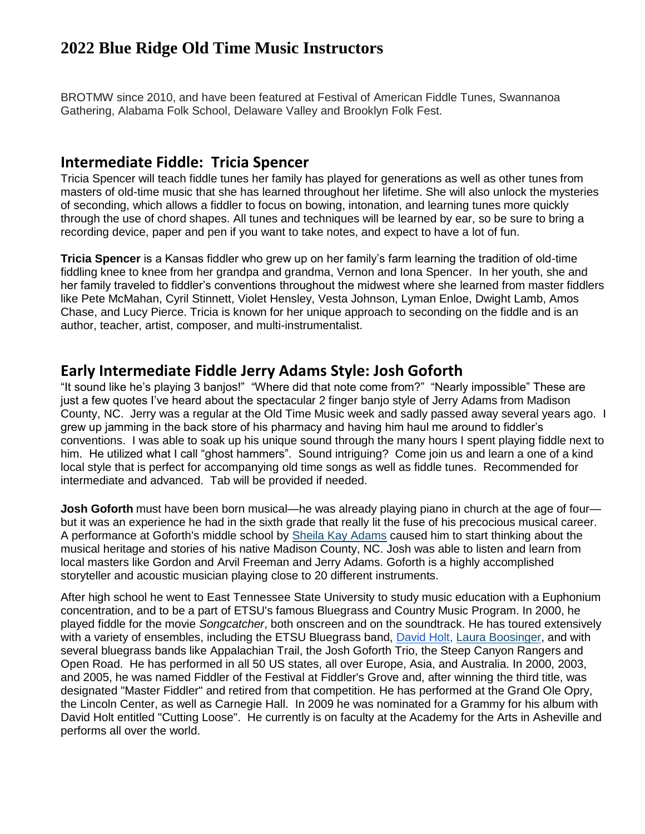BROTMW since 2010, and have been featured at Festival of American Fiddle Tunes, Swannanoa Gathering, Alabama Folk School, Delaware Valley and Brooklyn Folk Fest.

#### **Intermediate Fiddle: Tricia Spencer**

Tricia Spencer will teach fiddle tunes her family has played for generations as well as other tunes from masters of old-time music that she has learned throughout her lifetime. She will also unlock the mysteries of seconding, which allows a fiddler to focus on bowing, intonation, and learning tunes more quickly through the use of chord shapes. All tunes and techniques will be learned by ear, so be sure to bring a recording device, paper and pen if you want to take notes, and expect to have a lot of fun.

**Tricia Spencer** is a Kansas fiddler who grew up on her family's farm learning the tradition of old-time fiddling knee to knee from her grandpa and grandma, Vernon and Iona Spencer. In her youth, she and her family traveled to fiddler's conventions throughout the midwest where she learned from master fiddlers like Pete McMahan, Cyril Stinnett, Violet Hensley, Vesta Johnson, Lyman Enloe, Dwight Lamb, Amos Chase, and Lucy Pierce. Tricia is known for her unique approach to seconding on the fiddle and is an author, teacher, artist, composer, and multi-instrumentalist.

#### **Early Intermediate Fiddle Jerry Adams Style: Josh Goforth**

"It sound like he's playing 3 banjos!" "Where did that note come from?" "Nearly impossible" These are just a few quotes I've heard about the spectacular 2 finger banjo style of Jerry Adams from Madison County, NC. Jerry was a regular at the Old Time Music week and sadly passed away several years ago. I grew up jamming in the back store of his pharmacy and having him haul me around to fiddler's conventions. I was able to soak up his unique sound through the many hours I spent playing fiddle next to him. He utilized what I call "ghost hammers". Sound intriguing? Come join us and learn a one of a kind local style that is perfect for accompanying old time songs as well as fiddle tunes. Recommended for intermediate and advanced. Tab will be provided if needed.

**Josh Goforth** must have been born musical—he was already playing piano in church at the age of four but it was an experience he had in the sixth grade that really lit the fuse of his precocious musical career. A performance at Goforth's middle school by [Sheila Kay Adams](http://www.blueridgeheritage.com/traditional-artist-directory/sheila-kay-adams) caused him to start thinking about the musical heritage and stories of his native Madison County, NC. Josh was able to listen and learn from local masters like Gordon and Arvil Freeman and Jerry Adams. Goforth is a highly accomplished storyteller and acoustic musician playing close to 20 different instruments.

After high school he went to East Tennessee State University to study music education with a Euphonium concentration, and to be a part of ETSU's famous Bluegrass and Country Music Program. In 2000, he played fiddle for the movie *Songcatcher*, both onscreen and on the soundtrack. He has toured extensively with a variety of ensembles, including the ETSU Bluegrass band, [David Holt,](http://www.blueridgeheritage.com/traditional-artist-directory/david-holt) [Laura Boosinger,](http://www.blueridgeheritage.com/traditional-artist-directory/laura-boosinger) and with several bluegrass bands like Appalachian Trail, the Josh Goforth Trio, the Steep Canyon Rangers and Open Road. He has performed in all 50 US states, all over Europe, Asia, and Australia. In 2000, 2003, and 2005, he was named Fiddler of the Festival at Fiddler's Grove and, after winning the third title, was designated "Master Fiddler" and retired from that competition. He has performed at the Grand Ole Opry, the Lincoln Center, as well as Carnegie Hall. In 2009 he was nominated for a Grammy for his album with David Holt entitled "Cutting Loose". He currently is on faculty at the Academy for the Arts in Asheville and performs all over the world.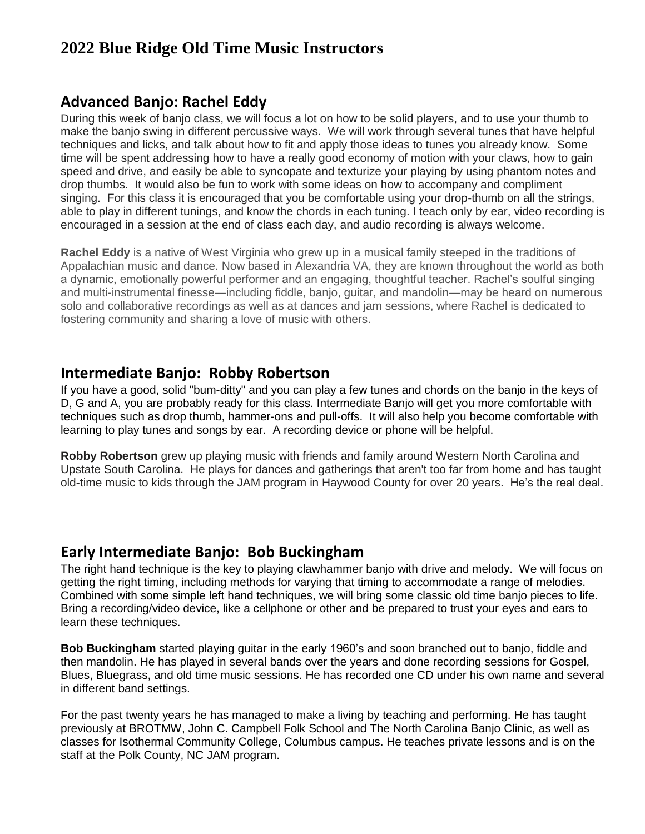### **Advanced Banjo: Rachel Eddy**

During this week of banjo class, we will focus a lot on how to be solid players, and to use your thumb to make the banjo swing in different percussive ways. We will work through several tunes that have helpful techniques and licks, and talk about how to fit and apply those ideas to tunes you already know. Some time will be spent addressing how to have a really good economy of motion with your claws, how to gain speed and drive, and easily be able to syncopate and texturize your playing by using phantom notes and drop thumbs. It would also be fun to work with some ideas on how to accompany and compliment singing. For this class it is encouraged that you be comfortable using your drop-thumb on all the strings, able to play in different tunings, and know the chords in each tuning. I teach only by ear, video recording is encouraged in a session at the end of class each day, and audio recording is always welcome.

**Rachel Eddy** is a native of West Virginia who grew up in a musical family steeped in the traditions of Appalachian music and dance. Now based in Alexandria VA, they are known throughout the world as both a dynamic, emotionally powerful performer and an engaging, thoughtful teacher. Rachel's soulful singing and multi-instrumental finesse—including fiddle, banjo, guitar, and mandolin—may be heard on numerous solo and collaborative recordings as well as at dances and jam sessions, where Rachel is dedicated to fostering community and sharing a love of music with others.

### **Intermediate Banjo: Robby Robertson**

If you have a good, solid "bum-ditty" and you can play a few tunes and chords on the banjo in the keys of D, G and A, you are probably ready for this class. Intermediate Banjo will get you more comfortable with techniques such as drop thumb, hammer-ons and pull-offs. It will also help you become comfortable with learning to play tunes and songs by ear. A recording device or phone will be helpful.

**Robby Robertson** grew up playing music with friends and family around Western North Carolina and Upstate South Carolina. He plays for dances and gatherings that aren't too far from home and has taught old-time music to kids through the JAM program in Haywood County for over 20 years. He's the real deal.

### **Early Intermediate Banjo: Bob Buckingham**

The right hand technique is the key to playing clawhammer banjo with drive and melody. We will focus on getting the right timing, including methods for varying that timing to accommodate a range of melodies. Combined with some simple left hand techniques, we will bring some classic old time banjo pieces to life. Bring a recording/video device, like a cellphone or other and be prepared to trust your eyes and ears to learn these techniques.

**Bob Buckingham** started playing guitar in the early 1960's and soon branched out to banjo, fiddle and then mandolin. He has played in several bands over the years and done recording sessions for Gospel, Blues, Bluegrass, and old time music sessions. He has recorded one CD under his own name and several in different band settings.

For the past twenty years he has managed to make a living by teaching and performing. He has taught previously at BROTMW, John C. Campbell Folk School and The North Carolina Banjo Clinic, as well as classes for Isothermal Community College, Columbus campus. He teaches private lessons and is on the staff at the Polk County, NC JAM program.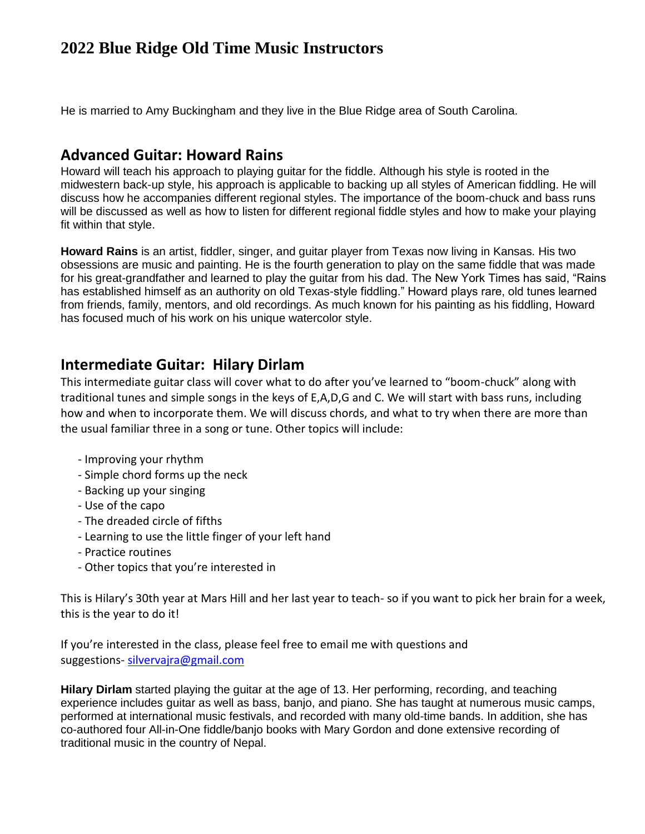He is married to Amy Buckingham and they live in the Blue Ridge area of South Carolina.

### **Advanced Guitar: Howard Rains**

Howard will teach his approach to playing guitar for the fiddle. Although his style is rooted in the midwestern back-up style, his approach is applicable to backing up all styles of American fiddling. He will discuss how he accompanies different regional styles. The importance of the boom-chuck and bass runs will be discussed as well as how to listen for different regional fiddle styles and how to make your playing fit within that style.

**Howard Rains** is an artist, fiddler, singer, and guitar player from Texas now living in Kansas. His two obsessions are music and painting. He is the fourth generation to play on the same fiddle that was made for his great-grandfather and learned to play the guitar from his dad. The New York Times has said, "Rains has established himself as an authority on old Texas-style fiddling." Howard plays rare, old tunes learned from friends, family, mentors, and old recordings. As much known for his painting as his fiddling, Howard has focused much of his work on his unique watercolor style.

### **Intermediate Guitar: Hilary Dirlam**

This intermediate guitar class will cover what to do after you've learned to "boom-chuck" along with traditional tunes and simple songs in the keys of E,A,D,G and C. We will start with bass runs, including how and when to incorporate them. We will discuss chords, and what to try when there are more than the usual familiar three in a song or tune. Other topics will include:

- Improving your rhythm
- Simple chord forms up the neck
- Backing up your singing
- Use of the capo
- The dreaded circle of fifths
- Learning to use the little finger of your left hand
- Practice routines
- Other topics that you're interested in

This is Hilary's 30th year at Mars Hill and her last year to teach- so if you want to pick her brain for a week, this is the year to do it!

If you're interested in the class, please feel free to email me with questions and suggestions- [silvervajra@gmail.com](mailto:silvervajra@gmail.com)

**Hilary Dirlam** started playing the guitar at the age of 13. Her performing, recording, and teaching experience includes guitar as well as bass, banjo, and piano. She has taught at numerous music camps, performed at international music festivals, and recorded with many old-time bands. In addition, she has co-authored four All-in-One fiddle/banjo books with Mary Gordon and done extensive recording of traditional music in the country of Nepal.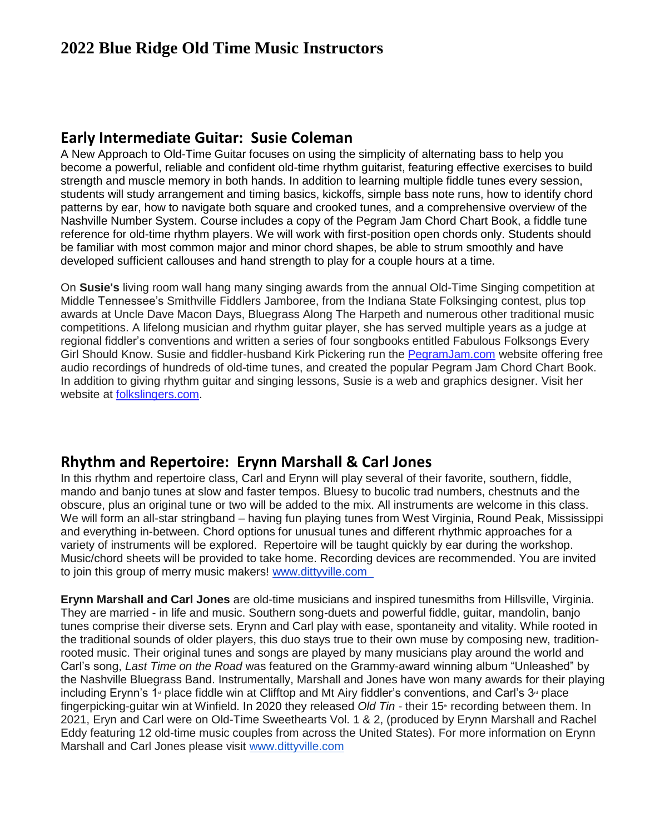### **Early Intermediate Guitar: Susie Coleman**

A New Approach to Old-Time Guitar focuses on using the simplicity of alternating bass to help you become a powerful, reliable and confident old-time rhythm guitarist, featuring effective exercises to build strength and muscle memory in both hands. In addition to learning multiple fiddle tunes every session, students will study arrangement and timing basics, kickoffs, simple bass note runs, how to identify chord patterns by ear, how to navigate both square and crooked tunes, and a comprehensive overview of the Nashville Number System. Course includes a copy of the Pegram Jam Chord Chart Book, a fiddle tune reference for old-time rhythm players. We will work with first-position open chords only. Students should be familiar with most common major and minor chord shapes, be able to strum smoothly and have developed sufficient callouses and hand strength to play for a couple hours at a time.

On **Susie's** living room wall hang many singing awards from the annual Old-Time Singing competition at Middle Tennessee's Smithville Fiddlers Jamboree, from the Indiana State Folksinging contest, plus top awards at Uncle Dave Macon Days, Bluegrass Along The Harpeth and numerous other traditional music competitions. A lifelong musician and rhythm guitar player, she has served multiple years as a judge at regional fiddler's conventions and written a series of four songbooks entitled Fabulous Folksongs Every Girl Should Know. Susie and fiddler-husband Kirk Pickering run the [PegramJam.com](http://pegramjam.com/) website offering free audio recordings of hundreds of old-time tunes, and created the popular Pegram Jam Chord Chart Book. In addition to giving rhythm guitar and singing lessons, Susie is a web and graphics designer. Visit her website at [folkslingers.com.](http://folkslingers.com/)

### **Rhythm and Repertoire: Erynn Marshall & Carl Jones**

In this rhythm and repertoire class, Carl and Erynn will play several of their favorite, southern, fiddle, mando and banjo tunes at slow and faster tempos. Bluesy to bucolic trad numbers, chestnuts and the obscure, plus an original tune or two will be added to the mix. All instruments are welcome in this class. We will form an all-star stringband – having fun playing tunes from West Virginia, Round Peak, Mississippi and everything in-between. Chord options for unusual tunes and different rhythmic approaches for a variety of instruments will be explored. Repertoire will be taught quickly by ear during the workshop. Music/chord sheets will be provided to take home. Recording devices are recommended. You are invited to join this group of merry music makers! [www.dittyville.com](http://www.dittyville.com/) 

**Erynn Marshall and Carl Jones** are old-time musicians and inspired tunesmiths from Hillsville, Virginia. They are married - in life and music. Southern song-duets and powerful fiddle, guitar, mandolin, banjo tunes comprise their diverse sets. Erynn and Carl play with ease, spontaneity and vitality. While rooted in the traditional sounds of older players, this duo stays true to their own muse by composing new, traditionrooted music. Their original tunes and songs are played by many musicians play around the world and Carl's song, *Last Time on the Road* was featured on the Grammy-award winning album "Unleashed" by the Nashville Bluegrass Band. Instrumentally, Marshall and Jones have won many awards for their playing including Erynn's 1<sup>st</sup> place fiddle win at Clifftop and Mt Airy fiddler's conventions, and Carl's  $3<sup>a</sup>$  place fingerpicking-guitar win at Winfield. In 2020 they released *Old Tin -* their 15<sup>th</sup> recording between them. In 2021, Eryn and Carl were on Old-Time Sweethearts Vol. 1 & 2, (produced by Erynn Marshall and Rachel Eddy featuring 12 old-time music couples from across the United States). For more information on Erynn Marshall and Carl Jones please visit [www.dittyville.com](http://www.dittyville.com/)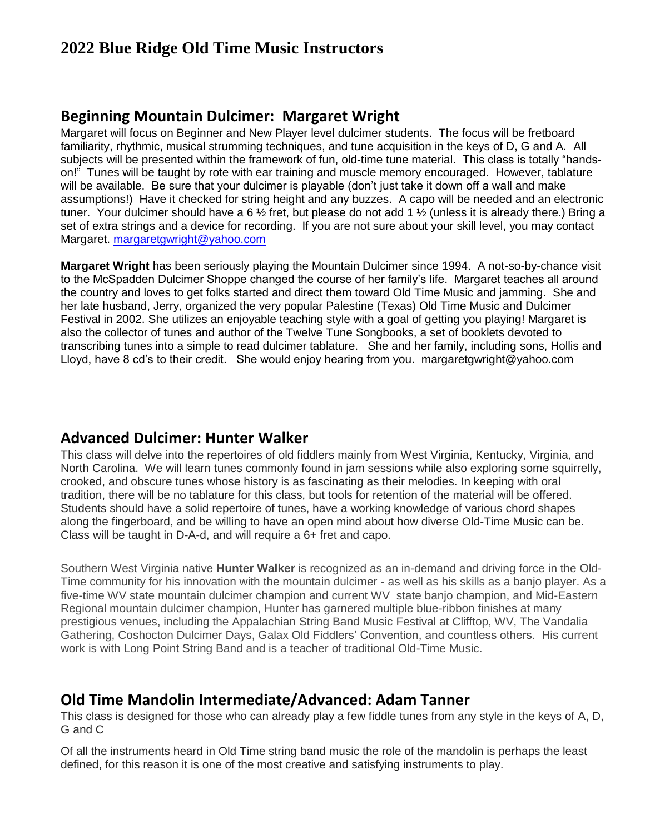### **Beginning Mountain Dulcimer: Margaret Wright**

Margaret will focus on Beginner and New Player level dulcimer students. The focus will be fretboard familiarity, rhythmic, musical strumming techniques, and tune acquisition in the keys of D, G and A. All subjects will be presented within the framework of fun, old-time tune material. This class is totally "handson!" Tunes will be taught by rote with ear training and muscle memory encouraged. However, tablature will be available. Be sure that your dulcimer is playable (don't just take it down off a wall and make assumptions!) Have it checked for string height and any buzzes. A capo will be needed and an electronic tuner. Your dulcimer should have a 6 ½ fret, but please do not add 1 ½ (unless it is already there.) Bring a set of extra strings and a device for recording. If you are not sure about your skill level, you may contact Margaret. [margaretgwright@yahoo.com](mailto:margaretgwright@yahoo.com)

**Margaret Wright** has been seriously playing the Mountain Dulcimer since 1994. A not-so-by-chance visit to the McSpadden Dulcimer Shoppe changed the course of her family's life. Margaret teaches all around the country and loves to get folks started and direct them toward Old Time Music and jamming. She and her late husband, Jerry, organized the very popular Palestine (Texas) Old Time Music and Dulcimer Festival in 2002. She utilizes an enjoyable teaching style with a goal of getting you playing! Margaret is also the collector of tunes and author of the Twelve Tune Songbooks, a set of booklets devoted to transcribing tunes into a simple to read dulcimer tablature. She and her family, including sons, Hollis and Lloyd, have 8 cd's to their credit. She would enjoy hearing from you. margaretgwright@yahoo.com

### **Advanced Dulcimer: Hunter Walker**

This class will delve into the repertoires of old fiddlers mainly from West Virginia, Kentucky, Virginia, and North Carolina. We will learn tunes commonly found in jam sessions while also exploring some squirrelly, crooked, and obscure tunes whose history is as fascinating as their melodies. In keeping with oral tradition, there will be no tablature for this class, but tools for retention of the material will be offered. Students should have a solid repertoire of tunes, have a working knowledge of various chord shapes along the fingerboard, and be willing to have an open mind about how diverse Old-Time Music can be. Class will be taught in D-A-d, and will require a 6+ fret and capo.

Southern West Virginia native **Hunter Walker** is recognized as an in-demand and driving force in the Old-Time community for his innovation with the mountain dulcimer - as well as his skills as a banjo player. As a five-time WV state mountain dulcimer champion and current WV state banjo champion, and Mid-Eastern Regional mountain dulcimer champion, Hunter has garnered multiple blue-ribbon finishes at many prestigious venues, including the Appalachian String Band Music Festival at Clifftop, WV, The Vandalia Gathering, Coshocton Dulcimer Days, Galax Old Fiddlers' Convention, and countless others. His current work is with Long Point String Band and is a teacher of traditional Old-Time Music.

### **Old Time Mandolin Intermediate/Advanced: Adam Tanner**

This class is designed for those who can already play a few fiddle tunes from any style in the keys of A, D, G and C

Of all the instruments heard in Old Time string band music the role of the mandolin is perhaps the least defined, for this reason it is one of the most creative and satisfying instruments to play.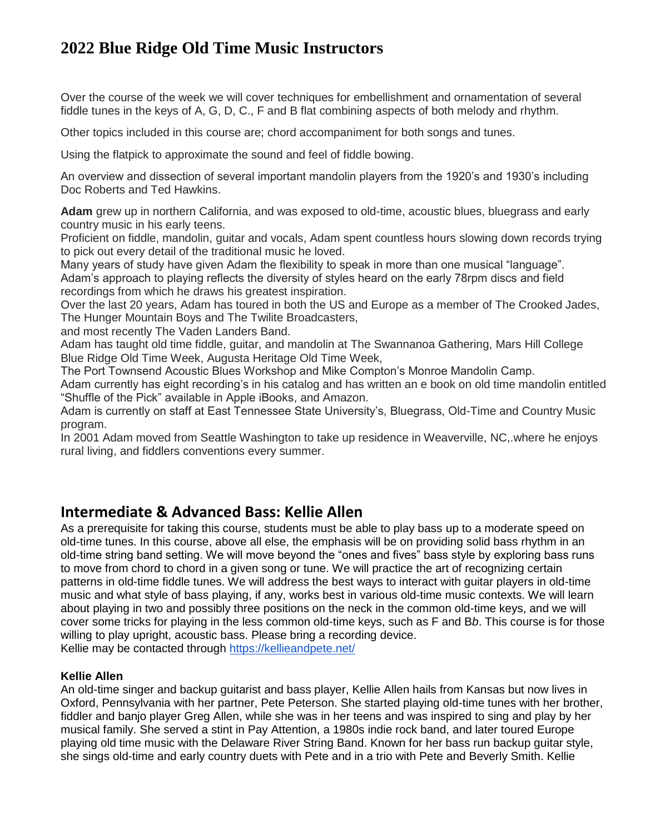Over the course of the week we will cover techniques for embellishment and ornamentation of several fiddle tunes in the keys of A, G, D, C., F and B flat combining aspects of both melody and rhythm.

Other topics included in this course are; chord accompaniment for both songs and tunes.

Using the flatpick to approximate the sound and feel of fiddle bowing.

An overview and dissection of several important mandolin players from the 1920's and 1930's including Doc Roberts and Ted Hawkins.

**Adam** grew up in northern California, and was exposed to old-time, acoustic blues, bluegrass and early country music in his early teens.

Proficient on fiddle, mandolin, guitar and vocals, Adam spent countless hours slowing down records trying to pick out every detail of the traditional music he loved.

Many years of study have given Adam the flexibility to speak in more than one musical "language". Adam's approach to playing reflects the diversity of styles heard on the early 78rpm discs and field recordings from which he draws his greatest inspiration.

Over the last 20 years, Adam has toured in both the US and Europe as a member of The Crooked Jades, The Hunger Mountain Boys and The Twilite Broadcasters,

and most recently The Vaden Landers Band.

Adam has taught old time fiddle, guitar, and mandolin at The Swannanoa Gathering, Mars Hill College Blue Ridge Old Time Week, Augusta Heritage Old Time Week,

The Port Townsend Acoustic Blues Workshop and Mike Compton's Monroe Mandolin Camp.

Adam currently has eight recording's in his catalog and has written an e book on old time mandolin entitled "Shuffle of the Pick" available in Apple iBooks, and Amazon.

Adam is currently on staff at East Tennessee State University's, Bluegrass, Old-Time and Country Music program.

In 2001 Adam moved from Seattle Washington to take up residence in Weaverville, NC,.where he enjoys rural living, and fiddlers conventions every summer.

### **Intermediate & Advanced Bass: Kellie Allen**

As a prerequisite for taking this course, students must be able to play bass up to a moderate speed on old-time tunes. In this course, above all else, the emphasis will be on providing solid bass rhythm in an old-time string band setting. We will move beyond the "ones and fives" bass style by exploring bass runs to move from chord to chord in a given song or tune. We will practice the art of recognizing certain patterns in old-time fiddle tunes. We will address the best ways to interact with guitar players in old-time music and what style of bass playing, if any, works best in various old-time music contexts. We will learn about playing in two and possibly three positions on the neck in the common old-time keys, and we will cover some tricks for playing in the less common old-time keys, such as F and B*b*. This course is for those willing to play upright, acoustic bass. Please bring a recording device.

Kellie may be contacted through<https://kellieandpete.net/>

#### **Kellie Allen**

An old-time singer and backup guitarist and bass player, Kellie Allen hails from Kansas but now lives in Oxford, Pennsylvania with her partner, Pete Peterson. She started playing old-time tunes with her brother, fiddler and banjo player Greg Allen, while she was in her teens and was inspired to sing and play by her musical family. She served a stint in Pay Attention, a 1980s indie rock band, and later toured Europe playing old time music with the Delaware River String Band. Known for her bass run backup guitar style, she sings old-time and early country duets with Pete and in a trio with Pete and Beverly Smith. Kellie